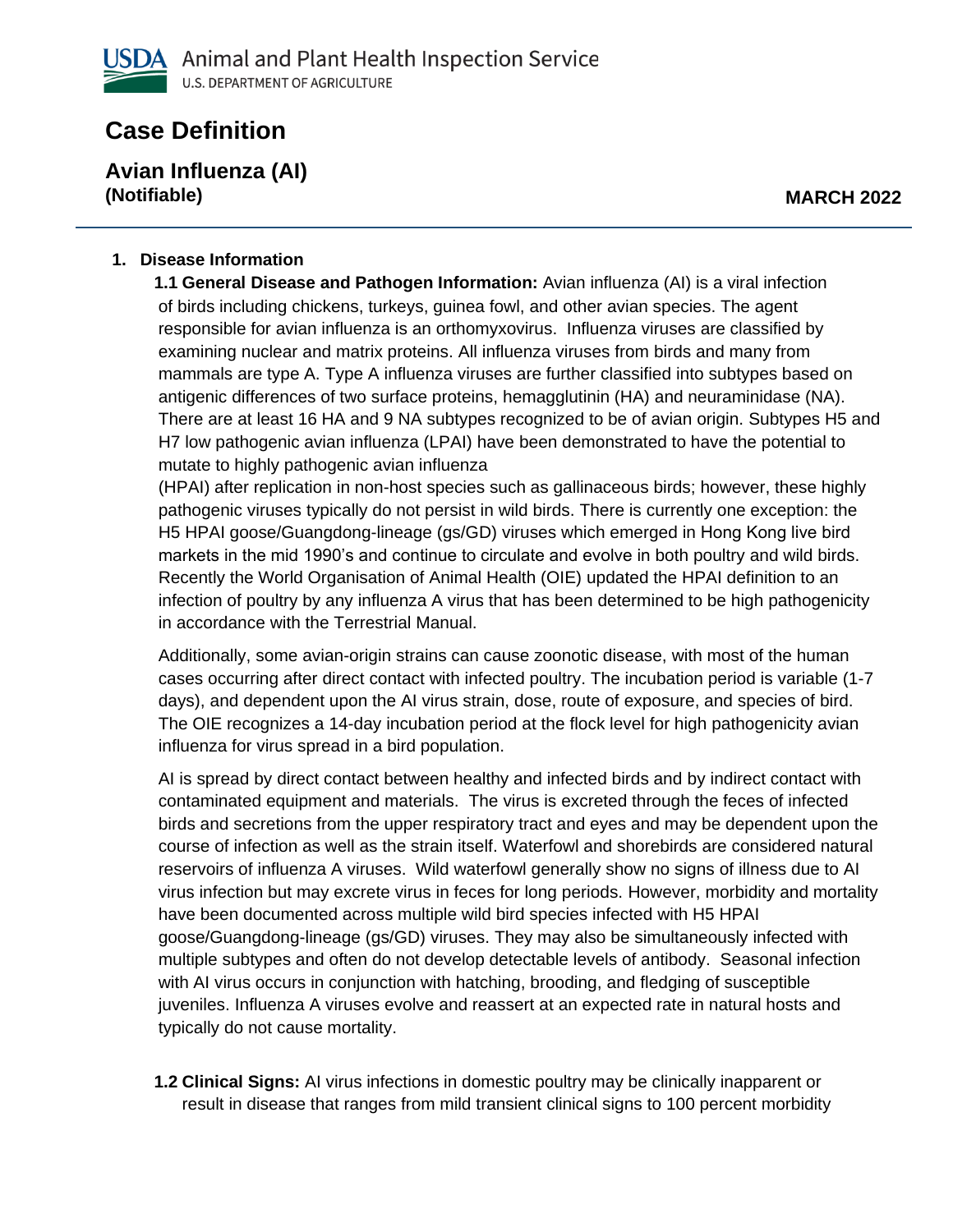# **Case Definition**

**Avian Influenza (AI) (Notifiable) MARCH 2022**

#### **1. Disease Information**

**1.1 General Disease and Pathogen Information:** Avian influenza (AI) is a viral infection of birds including chickens, turkeys, guinea fowl, and other avian species. The agent responsible for avian influenza is an orthomyxovirus. Influenza viruses are classified by examining nuclear and matrix proteins. All influenza viruses from birds and many from mammals are type A. Type A influenza viruses are further classified into subtypes based on antigenic differences of two surface proteins, hemagglutinin (HA) and neuraminidase (NA). There are at least 16 HA and 9 NA subtypes recognized to be of avian origin. Subtypes H5 and H7 low pathogenic avian influenza (LPAI) have been demonstrated to have the potential to mutate to highly pathogenic avian influenza

(HPAI) after replication in non-host species such as gallinaceous birds; however, these highly pathogenic viruses typically do not persist in wild birds. There is currently one exception: the H5 HPAI goose/Guangdong-lineage (gs/GD) viruses which emerged in Hong Kong live bird markets in the mid 1990's and continue to circulate and evolve in both poultry and wild birds. Recently the World Organisation of Animal Health (OIE) updated the HPAI definition to an infection of poultry by any influenza A virus that has been determined to be high pathogenicity in accordance with the Terrestrial Manual.

Additionally, some avian-origin strains can cause zoonotic disease, with most of the human cases occurring after direct contact with infected poultry. The incubation period is variable (1-7 days), and dependent upon the AI virus strain, dose, route of exposure, and species of bird. The OIE recognizes a 14-day incubation period at the flock level for high pathogenicity avian influenza for virus spread in a bird population.

AI is spread by direct contact between healthy and infected birds and by indirect contact with contaminated equipment and materials. The virus is excreted through the feces of infected birds and secretions from the upper respiratory tract and eyes and may be dependent upon the course of infection as well as the strain itself. Waterfowl and shorebirds are considered natural reservoirs of influenza A viruses. Wild waterfowl generally show no signs of illness due to AI virus infection but may excrete virus in feces for long periods. However, morbidity and mortality have been documented across multiple wild bird species infected with H5 HPAI goose/Guangdong-lineage (gs/GD) viruses. They may also be simultaneously infected with multiple subtypes and often do not develop detectable levels of antibody. Seasonal infection with AI virus occurs in conjunction with hatching, brooding, and fledging of susceptible juveniles. Influenza A viruses evolve and reassert at an expected rate in natural hosts and typically do not cause mortality.

**1.2 Clinical Signs:** AI virus infections in domestic poultry may be clinically inapparent or result in disease that ranges from mild transient clinical signs to 100 percent morbidity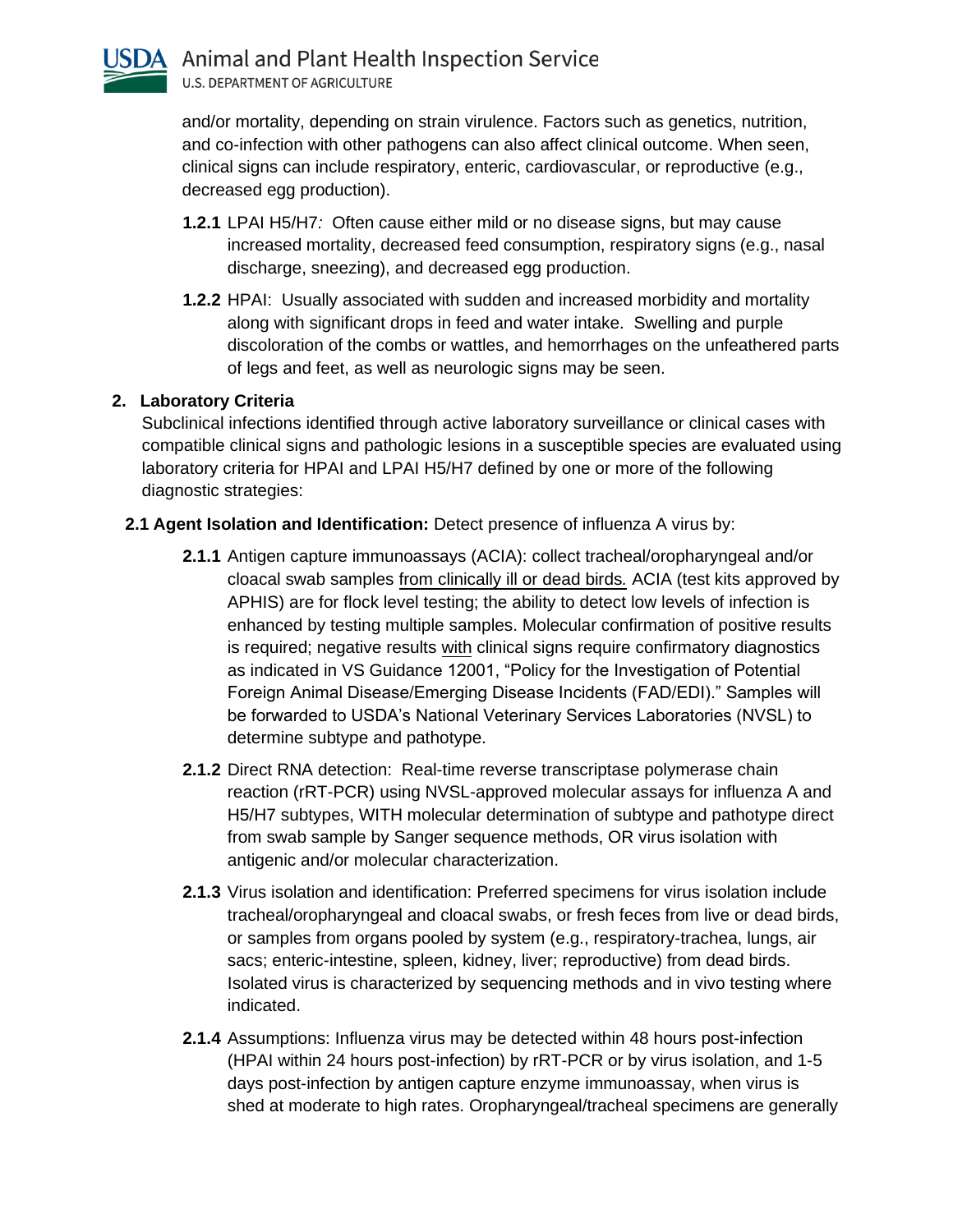

and/or mortality, depending on strain virulence. Factors such as genetics, nutrition, and co-infection with other pathogens can also affect clinical outcome. When seen, clinical signs can include respiratory, enteric, cardiovascular, or reproductive (e.g., decreased egg production).

- **1.2.1** LPAI H5/H7*:* Often cause either mild or no disease signs, but may cause increased mortality, decreased feed consumption, respiratory signs (e.g., nasal discharge, sneezing), and decreased egg production.
- **1.2.2** HPAI:Usually associated with sudden and increased morbidity and mortality along with significant drops in feed and water intake. Swelling and purple discoloration of the combs or wattles, and hemorrhages on the unfeathered parts of legs and feet, as well as neurologic signs may be seen.

## **2. Laboratory Criteria**

Subclinical infections identified through active laboratory surveillance or clinical cases with compatible clinical signs and pathologic lesions in a susceptible species are evaluated using laboratory criteria for HPAI and LPAI H5/H7 defined by one or more of the following diagnostic strategies:

## **2.1 Agent Isolation and Identification:** Detect presence of influenza A virus by:

- **2.1.1** Antigen capture immunoassays (ACIA): collect tracheal/oropharyngeal and/or cloacal swab samples from clinically ill or dead birds*.* ACIA (test kits approved by APHIS) are for flock level testing; the ability to detect low levels of infection is enhanced by testing multiple samples. Molecular confirmation of positive results is required; negative results with clinical signs require confirmatory diagnostics as indicated in VS Guidance 12001, "Policy for the Investigation of Potential Foreign Animal Disease/Emerging Disease Incidents (FAD/EDI)." Samples will be forwarded to USDA's National Veterinary Services Laboratories (NVSL) to determine subtype and pathotype.
- **2.1.2** Direct RNA detection: Real-time reverse transcriptase polymerase chain reaction (rRT-PCR) using NVSL-approved molecular assays for influenza A and H5/H7 subtypes, WITH molecular determination of subtype and pathotype direct from swab sample by Sanger sequence methods, OR virus isolation with antigenic and/or molecular characterization.
- **2.1.3** Virus isolation and identification: Preferred specimens for virus isolation include tracheal/oropharyngeal and cloacal swabs, or fresh feces from live or dead birds, or samples from organs pooled by system (e.g., respiratory-trachea, lungs, air sacs; enteric-intestine, spleen, kidney, liver; reproductive) from dead birds. Isolated virus is characterized by sequencing methods and in vivo testing where indicated.
- **2.1.4** Assumptions: Influenza virus may be detected within 48 hours post-infection (HPAI within 24 hours post-infection) by rRT-PCR or by virus isolation, and 1-5 days post-infection by antigen capture enzyme immunoassay, when virus is shed at moderate to high rates. Oropharyngeal/tracheal specimens are generally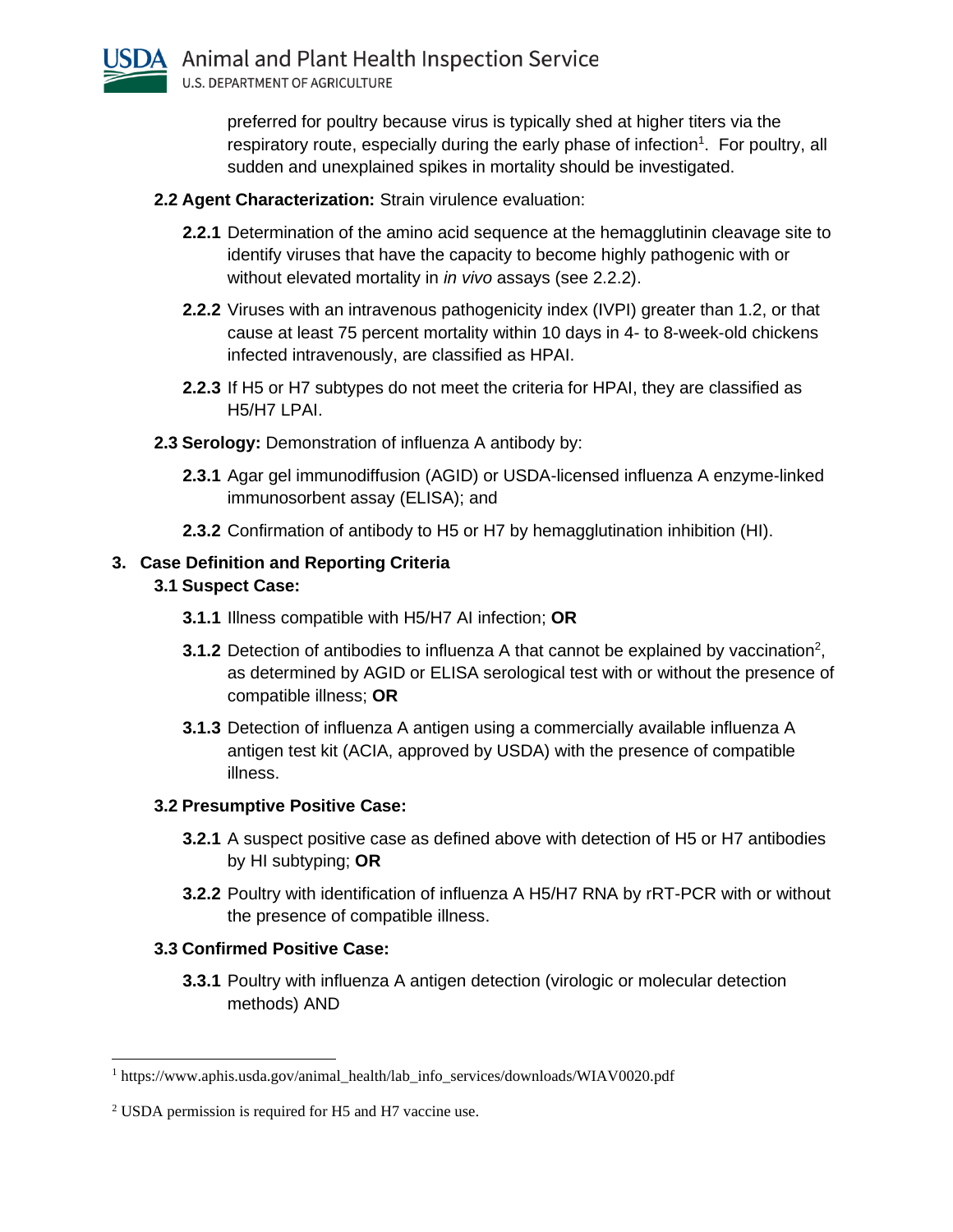

preferred for poultry because virus is typically shed at higher titers via the respiratory route, especially during the early phase of infection<sup>1</sup>. For poultry, all sudden and unexplained spikes in mortality should be investigated.

- **2.2 Agent Characterization:** Strain virulence evaluation:
	- **2.2.1** Determination of the amino acid sequence at the hemagglutinin cleavage site to identify viruses that have the capacity to become highly pathogenic with or without elevated mortality in *in vivo* assays (see 2.2.2).
	- **2.2.2** Viruses with an intravenous pathogenicity index (IVPI) greater than 1.2, or that cause at least 75 percent mortality within 10 days in 4- to 8-week-old chickens infected intravenously, are classified as HPAI.
	- **2.2.3** If H5 or H7 subtypes do not meet the criteria for HPAI, they are classified as H5/H7 LPAI.
- **2.3 Serology:** Demonstration of influenza A antibody by:
	- **2.3.1** Agar gel immunodiffusion (AGID) or USDA-licensed influenza A enzyme-linked immunosorbent assay (ELISA); and
	- **2.3.2** Confirmation of antibody to H5 or H7 by hemagglutination inhibition (HI).

## **3. Case Definition and Reporting Criteria**

#### **3.1 Suspect Case:**

- **3.1.1** Illness compatible with H5/H7 AI infection; **OR**
- **3.1.2** Detection of antibodies to influenza A that cannot be explained by vaccination<sup>2</sup>, as determined by AGID or ELISA serological test with or without the presence of compatible illness; **OR**
- **3.1.3** Detection of influenza A antigen using a commercially available influenza A antigen test kit (ACIA, approved by USDA) with the presence of compatible illness.

#### **3.2 Presumptive Positive Case:**

- **3.2.1** A suspect positive case as defined above with detection of H5 or H7 antibodies by HI subtyping; **OR**
- **3.2.2** Poultry with identification of influenza A H5/H7 RNA by rRT-PCR with or without the presence of compatible illness.

## **3.3 Confirmed Positive Case:**

**3.3.1** Poultry with influenza A antigen detection (virologic or molecular detection methods) AND

<sup>1</sup> https://www.aphis.usda.gov/animal\_health/lab\_info\_services/downloads/WIAV0020.pdf

<sup>2</sup> USDA permission is required for H5 and H7 vaccine use.